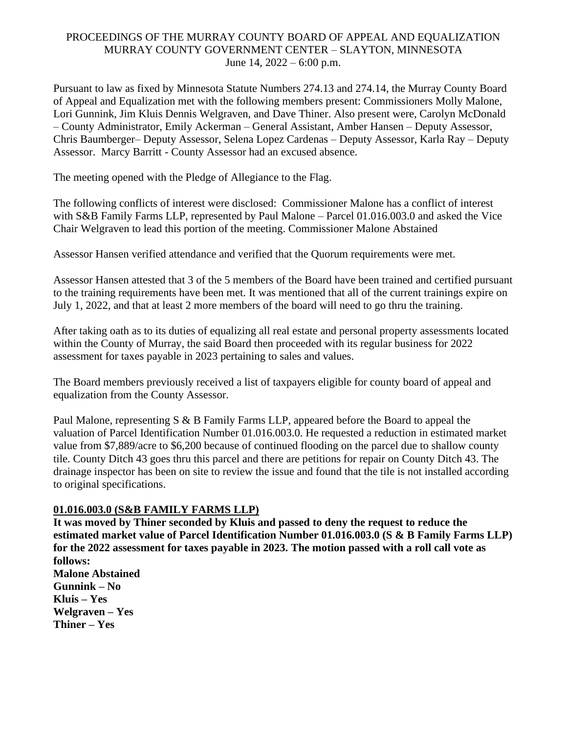## PROCEEDINGS OF THE MURRAY COUNTY BOARD OF APPEAL AND EQUALIZATION MURRAY COUNTY GOVERNMENT CENTER – SLAYTON, MINNESOTA June 14, 2022 – 6:00 p.m.

Pursuant to law as fixed by Minnesota Statute Numbers 274.13 and 274.14, the Murray County Board of Appeal and Equalization met with the following members present: Commissioners Molly Malone, Lori Gunnink, Jim Kluis Dennis Welgraven, and Dave Thiner. Also present were, Carolyn McDonald – County Administrator, Emily Ackerman – General Assistant, Amber Hansen – Deputy Assessor, Chris Baumberger– Deputy Assessor, Selena Lopez Cardenas – Deputy Assessor, Karla Ray – Deputy Assessor. Marcy Barritt - County Assessor had an excused absence.

The meeting opened with the Pledge of Allegiance to the Flag.

The following conflicts of interest were disclosed: Commissioner Malone has a conflict of interest with S&B Family Farms LLP, represented by Paul Malone – Parcel 01.016.003.0 and asked the Vice Chair Welgraven to lead this portion of the meeting. Commissioner Malone Abstained

Assessor Hansen verified attendance and verified that the Quorum requirements were met.

Assessor Hansen attested that 3 of the 5 members of the Board have been trained and certified pursuant to the training requirements have been met. It was mentioned that all of the current trainings expire on July 1, 2022, and that at least 2 more members of the board will need to go thru the training.

After taking oath as to its duties of equalizing all real estate and personal property assessments located within the County of Murray, the said Board then proceeded with its regular business for 2022 assessment for taxes payable in 2023 pertaining to sales and values.

The Board members previously received a list of taxpayers eligible for county board of appeal and equalization from the County Assessor.

Paul Malone, representing S & B Family Farms LLP, appeared before the Board to appeal the valuation of Parcel Identification Number 01.016.003.0. He requested a reduction in estimated market value from \$7,889/acre to \$6,200 because of continued flooding on the parcel due to shallow county tile. County Ditch 43 goes thru this parcel and there are petitions for repair on County Ditch 43. The drainage inspector has been on site to review the issue and found that the tile is not installed according to original specifications.

### **01.016.003.0 (S&B FAMILY FARMS LLP)**

**It was moved by Thiner seconded by Kluis and passed to deny the request to reduce the estimated market value of Parcel Identification Number 01.016.003.0 (S & B Family Farms LLP) for the 2022 assessment for taxes payable in 2023. The motion passed with a roll call vote as follows: Malone Abstained Gunnink – No Kluis – Yes Welgraven – Yes Thiner – Yes**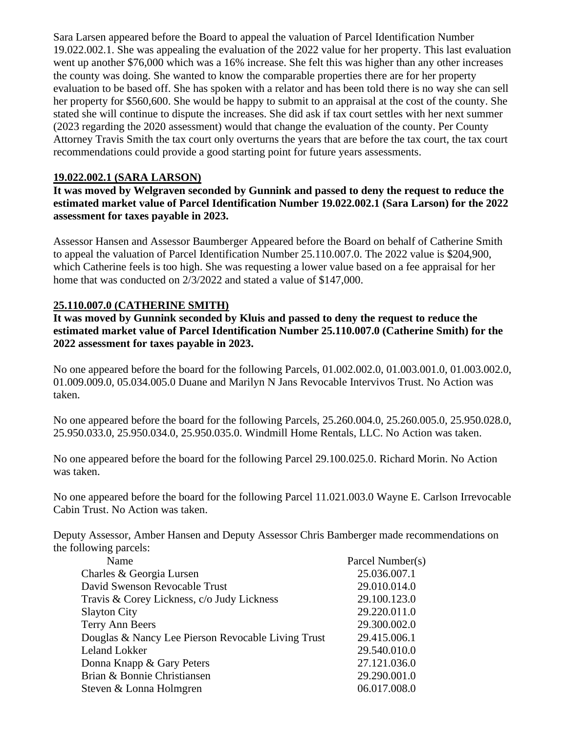Sara Larsen appeared before the Board to appeal the valuation of Parcel Identification Number 19.022.002.1. She was appealing the evaluation of the 2022 value for her property. This last evaluation went up another \$76,000 which was a 16% increase. She felt this was higher than any other increases the county was doing. She wanted to know the comparable properties there are for her property evaluation to be based off. She has spoken with a relator and has been told there is no way she can sell her property for \$560,600. She would be happy to submit to an appraisal at the cost of the county. She stated she will continue to dispute the increases. She did ask if tax court settles with her next summer (2023 regarding the 2020 assessment) would that change the evaluation of the county. Per County Attorney Travis Smith the tax court only overturns the years that are before the tax court, the tax court recommendations could provide a good starting point for future years assessments.

#### **19.022.002.1 (SARA LARSON)**

**It was moved by Welgraven seconded by Gunnink and passed to deny the request to reduce the estimated market value of Parcel Identification Number 19.022.002.1 (Sara Larson) for the 2022 assessment for taxes payable in 2023.**

Assessor Hansen and Assessor Baumberger Appeared before the Board on behalf of Catherine Smith to appeal the valuation of Parcel Identification Number 25.110.007.0. The 2022 value is \$204,900, which Catherine feels is too high. She was requesting a lower value based on a fee appraisal for her home that was conducted on 2/3/2022 and stated a value of \$147,000.

### **25.110.007.0 (CATHERINE SMITH)**

**It was moved by Gunnink seconded by Kluis and passed to deny the request to reduce the estimated market value of Parcel Identification Number 25.110.007.0 (Catherine Smith) for the 2022 assessment for taxes payable in 2023.**

No one appeared before the board for the following Parcels, 01.002.002.0, 01.003.001.0, 01.003.002.0, 01.009.009.0, 05.034.005.0 Duane and Marilyn N Jans Revocable Intervivos Trust. No Action was taken.

No one appeared before the board for the following Parcels, 25.260.004.0, 25.260.005.0, 25.950.028.0, 25.950.033.0, 25.950.034.0, 25.950.035.0. Windmill Home Rentals, LLC. No Action was taken.

No one appeared before the board for the following Parcel 29.100.025.0. Richard Morin. No Action was taken.

No one appeared before the board for the following Parcel 11.021.003.0 Wayne E. Carlson Irrevocable Cabin Trust. No Action was taken.

Deputy Assessor, Amber Hansen and Deputy Assessor Chris Bamberger made recommendations on the following parcels:

| Parcel Number(s) |
|------------------|
| 25.036.007.1     |
| 29.010.014.0     |
| 29.100.123.0     |
| 29.220.011.0     |
| 29.300.002.0     |
| 29.415.006.1     |
| 29.540.010.0     |
| 27.121.036.0     |
| 29.290.001.0     |
| 06.017.008.0     |
|                  |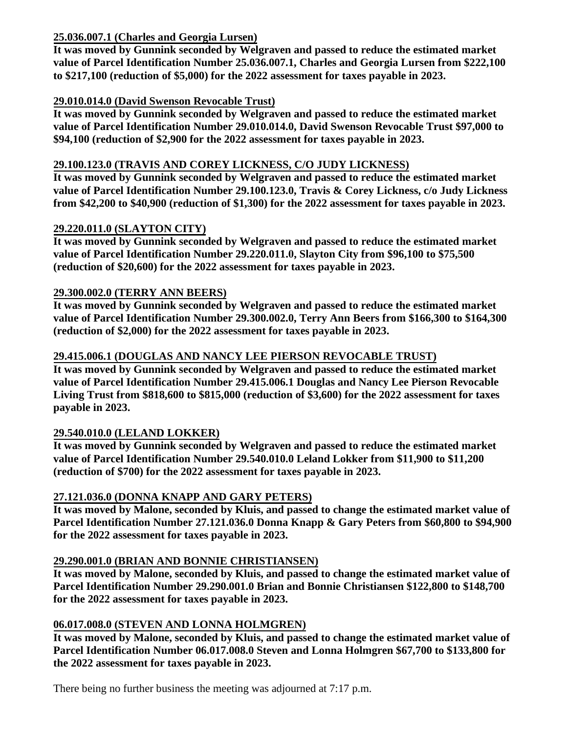## **25.036.007.1 (Charles and Georgia Lursen)**

**It was moved by Gunnink seconded by Welgraven and passed to reduce the estimated market value of Parcel Identification Number 25.036.007.1, Charles and Georgia Lursen from \$222,100 to \$217,100 (reduction of \$5,000) for the 2022 assessment for taxes payable in 2023.** 

# **29.010.014.0 (David Swenson Revocable Trust)**

**It was moved by Gunnink seconded by Welgraven and passed to reduce the estimated market value of Parcel Identification Number 29.010.014.0, David Swenson Revocable Trust \$97,000 to \$94,100 (reduction of \$2,900 for the 2022 assessment for taxes payable in 2023.** 

## **29.100.123.0 (TRAVIS AND COREY LICKNESS, C/O JUDY LICKNESS)**

**It was moved by Gunnink seconded by Welgraven and passed to reduce the estimated market value of Parcel Identification Number 29.100.123.0, Travis & Corey Lickness, c/o Judy Lickness from \$42,200 to \$40,900 (reduction of \$1,300) for the 2022 assessment for taxes payable in 2023.** 

# **29.220.011.0 (SLAYTON CITY)**

**It was moved by Gunnink seconded by Welgraven and passed to reduce the estimated market value of Parcel Identification Number 29.220.011.0, Slayton City from \$96,100 to \$75,500 (reduction of \$20,600) for the 2022 assessment for taxes payable in 2023.** 

# **29.300.002.0 (TERRY ANN BEERS)**

**It was moved by Gunnink seconded by Welgraven and passed to reduce the estimated market value of Parcel Identification Number 29.300.002.0, Terry Ann Beers from \$166,300 to \$164,300 (reduction of \$2,000) for the 2022 assessment for taxes payable in 2023.** 

# **29.415.006.1 (DOUGLAS AND NANCY LEE PIERSON REVOCABLE TRUST)**

**It was moved by Gunnink seconded by Welgraven and passed to reduce the estimated market value of Parcel Identification Number 29.415.006.1 Douglas and Nancy Lee Pierson Revocable Living Trust from \$818,600 to \$815,000 (reduction of \$3,600) for the 2022 assessment for taxes payable in 2023.** 

# **29.540.010.0 (LELAND LOKKER)**

**It was moved by Gunnink seconded by Welgraven and passed to reduce the estimated market value of Parcel Identification Number 29.540.010.0 Leland Lokker from \$11,900 to \$11,200 (reduction of \$700) for the 2022 assessment for taxes payable in 2023.** 

# **27.121.036.0 (DONNA KNAPP AND GARY PETERS)**

**It was moved by Malone, seconded by Kluis, and passed to change the estimated market value of Parcel Identification Number 27.121.036.0 Donna Knapp & Gary Peters from \$60,800 to \$94,900 for the 2022 assessment for taxes payable in 2023.** 

# **29.290.001.0 (BRIAN AND BONNIE CHRISTIANSEN)**

**It was moved by Malone, seconded by Kluis, and passed to change the estimated market value of Parcel Identification Number 29.290.001.0 Brian and Bonnie Christiansen \$122,800 to \$148,700 for the 2022 assessment for taxes payable in 2023.** 

### **06.017.008.0 (STEVEN AND LONNA HOLMGREN)**

**It was moved by Malone, seconded by Kluis, and passed to change the estimated market value of Parcel Identification Number 06.017.008.0 Steven and Lonna Holmgren \$67,700 to \$133,800 for the 2022 assessment for taxes payable in 2023.** 

There being no further business the meeting was adjourned at 7:17 p.m.